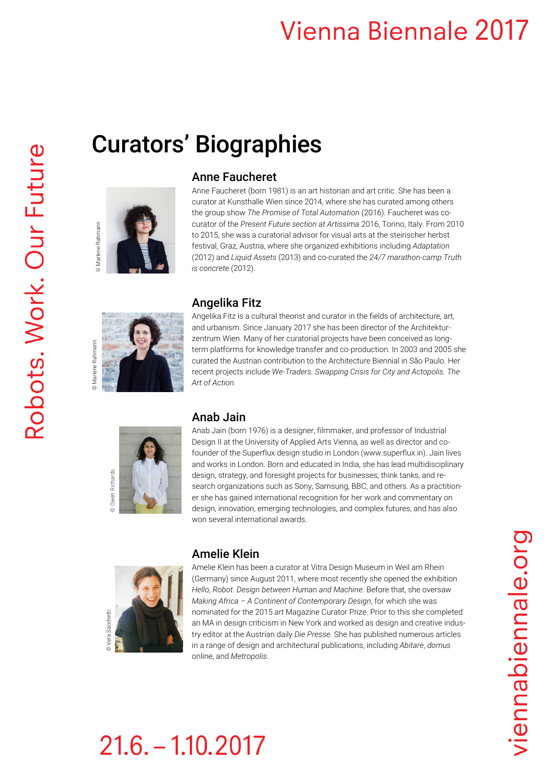## **Vienna Biennale 2017**

Curators' Biographies



### Anne Faucheret

Anne Faucheret (born 1981) is an art historian and art critic. She has been a curator at Kunsthalle Wien since 2014, where she has curated among others the group show *The Promise of Total Automation* (2016). Faucheret was cocurator of the *Present Future section at Artissima* 2016, Torino, Italy. From 2010 to 2015, she was a curatorial advisor for visual arts at the steirischer herbst festival, Graz, Austria, where she organized exhibitions including *Adaptation* (2012) and *Liquid Assets* (2013) and co-curated the *24/7 marathon-camp Truth is concrete* (2012).



### Angelika Fitz

Angelika Fitz is a cultural theorist and curator in the fields of architecture, art, and urbanism. Since January 2017 she has been director of the Architekturzentrum Wien. Many of her curatorial projects have been conceived as longterm platforms for knowledge transfer and co-production. In 2003 and 2005 she curated the Austrian contribution to the Architecture Biennial in São Paulo. Her recent projects include *We-Traders. Swapping Crisis for City and Actopolis. The Art of Action.*



#### Anab Jain

Anab Jain (born 1976) is a designer, filmmaker, and professor of Industrial Design II at the University of Applied Arts Vienna, as well as director and cofounder of the Superflux design studio in London (www.superflux.in). Jain lives and works in London. Born and educated in India, she has lead multidisciplinary design, strategy, and foresight projects for businesses, think tanks, and research organizations such as Sony, Samsung, BBC, and others. As a practitioner she has gained international recognition for her work and commentary on design, innovation, emerging technologies, and complex futures, and has also won several international awards.



#### Amelie Klein

Amelie Klein has been a curator at Vitra Design Museum in Weil am Rhein (Germany) since August 2011, where most recently she opened the exhibition *Hello, Robot. Design between Human and Machine*. Before that, she oversaw *Making Africa – A Continent of Contemporary Design*, for which she was nominated for the 2015 *art* Magazine Curator Prize. Prior to this she completed an MA in design criticism in New York and worked as design and creative industry editor at the Austrian daily *Die Presse.* She has published numerous articles in a range of design and architectural publications, including *Abitare*, *domus* online, and *Metropolis*.

# $21.6 - 1.10.2017$